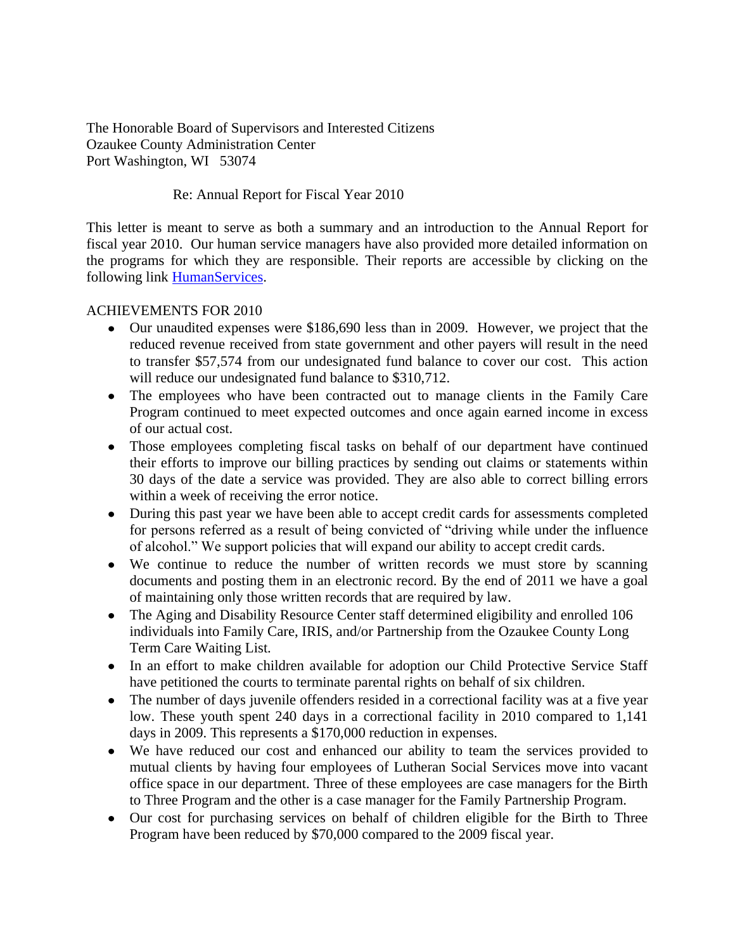The Honorable Board of Supervisors and Interested Citizens Ozaukee County Administration Center Port Washington, WI 53074

## Re: Annual Report for Fiscal Year 2010

This letter is meant to serve as both a summary and an introduction to the Annual Report for fiscal year 2010. Our human service managers have also provided more detailed information on the programs for which they are responsible. Their reports are accessible by clicking on the following link [HumanServices.](http://www.co.ozaukee.wi.us/HumanServices/Index.htm)

## ACHIEVEMENTS FOR 2010

- Our unaudited expenses were \$186,690 less than in 2009. However, we project that the reduced revenue received from state government and other payers will result in the need to transfer \$57,574 from our undesignated fund balance to cover our cost. This action will reduce our undesignated fund balance to \$310,712.
- The employees who have been contracted out to manage clients in the Family Care Program continued to meet expected outcomes and once again earned income in excess of our actual cost.
- Those employees completing fiscal tasks on behalf of our department have continued their efforts to improve our billing practices by sending out claims or statements within 30 days of the date a service was provided. They are also able to correct billing errors within a week of receiving the error notice.
- During this past year we have been able to accept credit cards for assessments completed for persons referred as a result of being convicted of "driving while under the influence of alcohol." We support policies that will expand our ability to accept credit cards.
- We continue to reduce the number of written records we must store by scanning documents and posting them in an electronic record. By the end of 2011 we have a goal of maintaining only those written records that are required by law.
- The Aging and Disability Resource Center staff determined eligibility and enrolled 106 individuals into Family Care, IRIS, and/or Partnership from the Ozaukee County Long Term Care Waiting List.
- In an effort to make children available for adoption our Child Protective Service Staff have petitioned the courts to terminate parental rights on behalf of six children.
- The number of days juvenile offenders resided in a correctional facility was at a five year low. These youth spent 240 days in a correctional facility in 2010 compared to 1,141 days in 2009. This represents a \$170,000 reduction in expenses.
- We have reduced our cost and enhanced our ability to team the services provided to mutual clients by having four employees of Lutheran Social Services move into vacant office space in our department. Three of these employees are case managers for the Birth to Three Program and the other is a case manager for the Family Partnership Program.
- Our cost for purchasing services on behalf of children eligible for the Birth to Three Program have been reduced by \$70,000 compared to the 2009 fiscal year.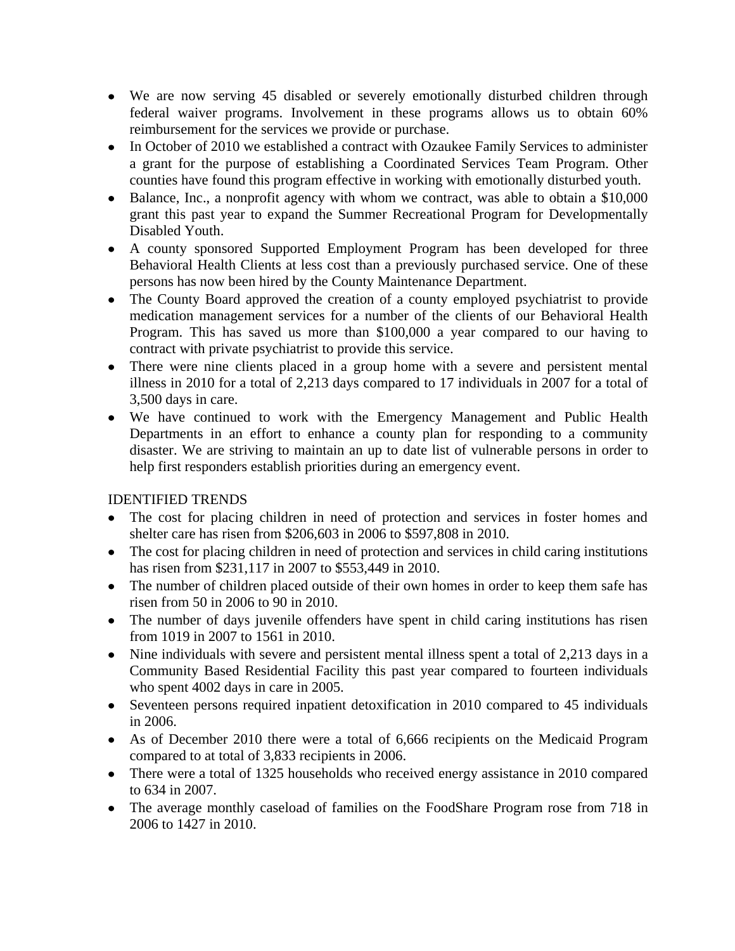- We are now serving 45 disabled or severely emotionally disturbed children through federal waiver programs. Involvement in these programs allows us to obtain 60% reimbursement for the services we provide or purchase.
- In October of 2010 we established a contract with Ozaukee Family Services to administer a grant for the purpose of establishing a Coordinated Services Team Program. Other counties have found this program effective in working with emotionally disturbed youth.
- Balance, Inc., a nonprofit agency with whom we contract, was able to obtain a \$10,000 grant this past year to expand the Summer Recreational Program for Developmentally Disabled Youth.
- A county sponsored Supported Employment Program has been developed for three Behavioral Health Clients at less cost than a previously purchased service. One of these persons has now been hired by the County Maintenance Department.
- The County Board approved the creation of a county employed psychiatrist to provide medication management services for a number of the clients of our Behavioral Health Program. This has saved us more than \$100,000 a year compared to our having to contract with private psychiatrist to provide this service.
- There were nine clients placed in a group home with a severe and persistent mental illness in 2010 for a total of 2,213 days compared to 17 individuals in 2007 for a total of 3,500 days in care.
- We have continued to work with the Emergency Management and Public Health Departments in an effort to enhance a county plan for responding to a community disaster. We are striving to maintain an up to date list of vulnerable persons in order to help first responders establish priorities during an emergency event.

## IDENTIFIED TRENDS

- The cost for placing children in need of protection and services in foster homes and shelter care has risen from \$206,603 in 2006 to \$597,808 in 2010.
- The cost for placing children in need of protection and services in child caring institutions has risen from \$231,117 in 2007 to \$553,449 in 2010.
- The number of children placed outside of their own homes in order to keep them safe has risen from 50 in 2006 to 90 in 2010.
- The number of days juvenile offenders have spent in child caring institutions has risen from 1019 in 2007 to 1561 in 2010.
- Nine individuals with severe and persistent mental illness spent a total of 2,213 days in a Community Based Residential Facility this past year compared to fourteen individuals who spent 4002 days in care in 2005.
- Seventeen persons required inpatient detoxification in 2010 compared to 45 individuals in 2006.
- As of December 2010 there were a total of 6,666 recipients on the Medicaid Program compared to at total of 3,833 recipients in 2006.
- There were a total of 1325 households who received energy assistance in 2010 compared to 634 in 2007.
- The average monthly caseload of families on the FoodShare Program rose from 718 in 2006 to 1427 in 2010.